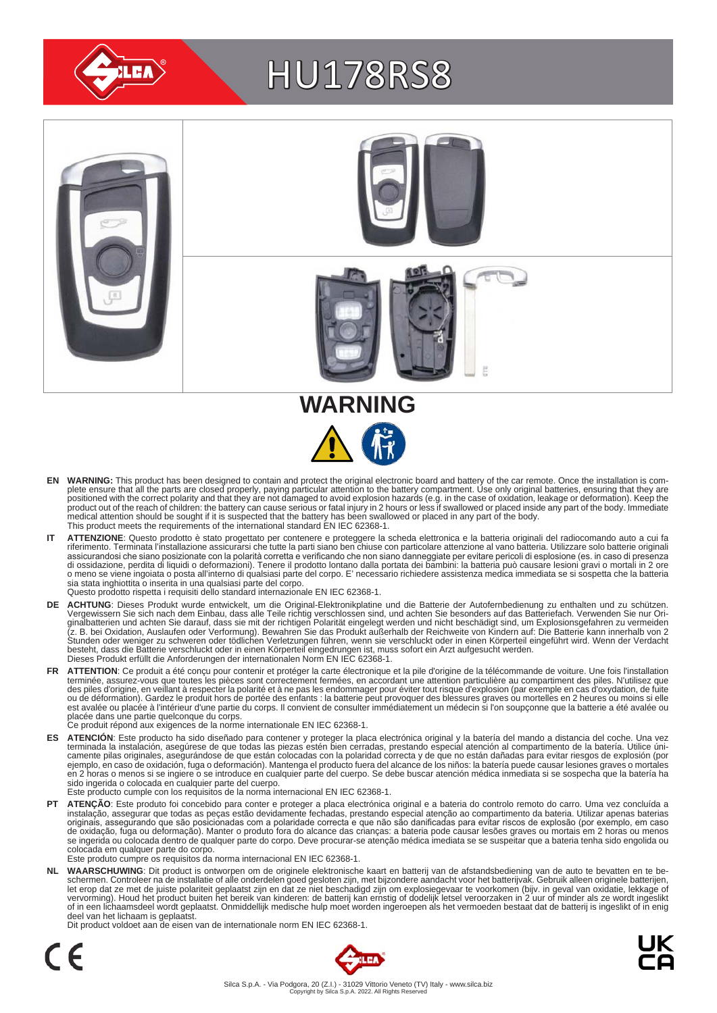

# HU178RS8



- EN WARNING: This product has been designed to contain and protect the original electronic board and battery of the car remote. Once the installation is complete ensure that all the parts are closed properly, paying particu medical attention should be sought if it is suspected that the battery has been swallowed or placed in any part of the body. This product meets the requirements of the international standard EN IEC 62368-1.
- IT ATTENZIONE: Questo prodotto è stato progettato per contenere e proteggere la scheda elettronica e la batteria originali del radiocomando auto a cui fa<br>riferimento. Terminata l'installazione assicurarsi che tutte la part assicurandosi che siano posizionate con la polarità corretta e verificando che non siano danneggiate per evitare pericoli di esplosione (es. in caso di presenza<br>di ossidazione, perdita di liquidi o deformazioni). Tenere il sia stata inghiottita o inserita in una qualsiasi parte del corpo. Questo prodotto rispetta i requisiti dello standard internazionale EN IEC 62368-1.
- **DE ACHTUNG**: Dieses Produkt wurde entwickelt, um die Original-Elektronikplatine und die Batterie der Autofernbedienung zu enthalten und zu schützen.<br>Vergewissern Sie sich nach dem Einbau, dass alle Teile richtig verschlos besteht, dass die Batterie verschluckt oder in einen Körperteil eingedrungen ist, muss sofort ein Arzt aufgesucht werden.<br>Dieses Produkt erfüllt die Anforderungen der internationalen Norm EN IEC 62368-1.
- FR ATTENTION: Ce produit a été conçu pour contenir et protéger la carte électronique et la pile d'origine de la télécommande de voiture. Une fois l'installation terminée, assurez-vous que toutes les pièces sont correctement fermées, en accordant une attention particulière au compartiment des piles. N'utilisez que<br>des piles d'origine, en veillant à respecter la polarité et à ne pas est avalée ou placée à l'intérieur d'une partie du corps. Il convient de consulter immédiatement un médecin si l'on soupçonne que la batterie a été avalée ou<br>placée dans une partie quelconque du corps.<br>Ce produit répond au
	-
- ES ATENCION: Este producto ha sido diseñado para contener y proteger la placa electrónica original y la batería del mando a distancia del coche. Una vez<br>-terminada la instalación, asegúrese de que todas las piezas estén bi camente pilas originales, asegurándose de que están colocadas con la polaridad correcta y de que no están dañadas para evitar riesgos de explosión (por<br>ejemplo, en caso de oxidación, fuga o deformación). Mantenga el produc sido ingerida o colocada en cualquier parte del cuerpo.
- Este producto cumple con los requisitos de la norma internacional EN IEC 62368-1.
- **PT ATENÇAO**: Este produto foi concebido para conter e proteger a placa electrónica original e a bateria do controlo remoto do carro. Uma vez concluída a instalação, assegurar que todas as peças estão devidamente fechadas, colocada em qualquer parte do corpo. Este produto cumpre os requisitos da norma internacional EN IEC 62368-1.

NL WAARSCHUWING: Dit product is ontworpen om de originele elektronische kaart en batterij van de afstandsbediening van de auto te bevatten en te be-<br>schermen. Controleer na de installatie of alle onderdelen goed gesloten z of in een lichaamsdeel wordt geplaatst. Onmiddellijk medische hulp moet worden ingeroepen als het vermoeden bestaat dat de batterij is ingeslikt of in enig deel van het lichaam is geplaatst.

Dit product voldoet aan de eisen van de internationale norm EN IEC 62368-1.